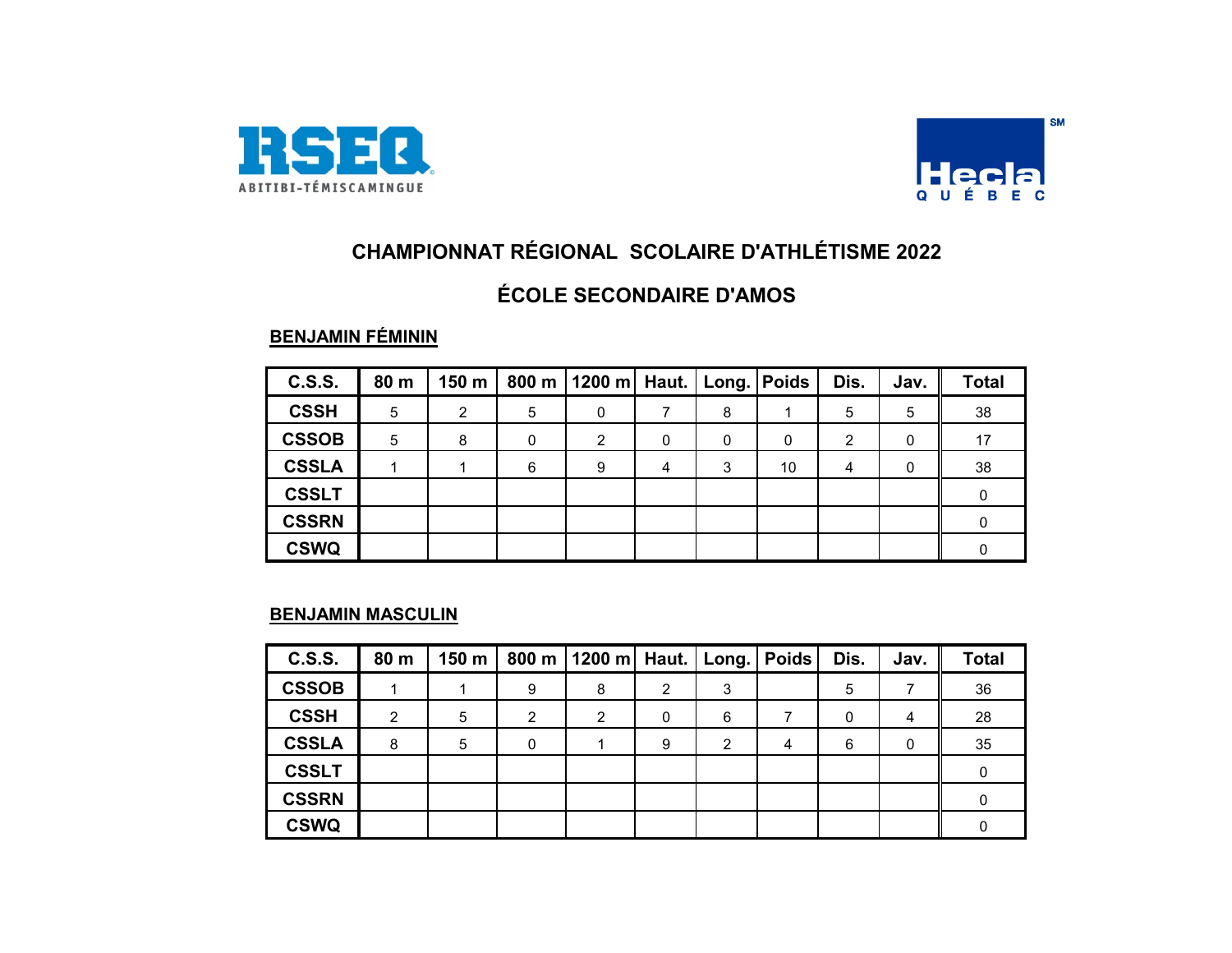



### **ÉCOLE SECONDAIRE D'AMOS**

#### **BENJAMIN FÉMININ**

| <b>C.S.S.</b> | 80 m | 150 m |   | 800 m   1200 m   Haut.   Long.   Poids |   |   |    | Dis. | Jav. | <b>Total</b> |
|---------------|------|-------|---|----------------------------------------|---|---|----|------|------|--------------|
| <b>CSSH</b>   | 5    | 2     | 5 | $\Omega$                               |   | 8 |    | 5    | 5    | 38           |
| <b>CSSOB</b>  | 5    | 8     | 0 | 2                                      | 0 | 0 | 0  | 2    |      | 17           |
| <b>CSSLA</b>  |      |       | 6 | 9                                      | 4 | 3 | 10 | 4    | 0    | 38           |
| <b>CSSLT</b>  |      |       |   |                                        |   |   |    |      |      |              |
| <b>CSSRN</b>  |      |       |   |                                        |   |   |    |      |      |              |
| <b>CSWQ</b>   |      |       |   |                                        |   |   |    |      |      |              |

#### **BENJAMIN MASCULIN**

| <b>C.S.S.</b> | 80 m           | 150 m |   | 800 m   1200 m   Haut. |   | $ $ Long. $ $ | <b>Poids</b> | Dis. | Jav. | <b>Total</b> |
|---------------|----------------|-------|---|------------------------|---|---------------|--------------|------|------|--------------|
| <b>CSSOB</b>  |                |       | 9 | 8                      | 2 | 3             |              | 5    |      | 36           |
| <b>CSSH</b>   | $\mathfrak{p}$ | 5     | 2 | 2                      | 0 | 6             | ⇁            | 0    | 4    | 28           |
| <b>CSSLA</b>  | 8              | 5     | 0 |                        | 9 | 2             | 4            | 6    | 0    | 35           |
| <b>CSSLT</b>  |                |       |   |                        |   |               |              |      |      |              |
| <b>CSSRN</b>  |                |       |   |                        |   |               |              |      |      |              |
| <b>CSWQ</b>   |                |       |   |                        |   |               |              |      |      |              |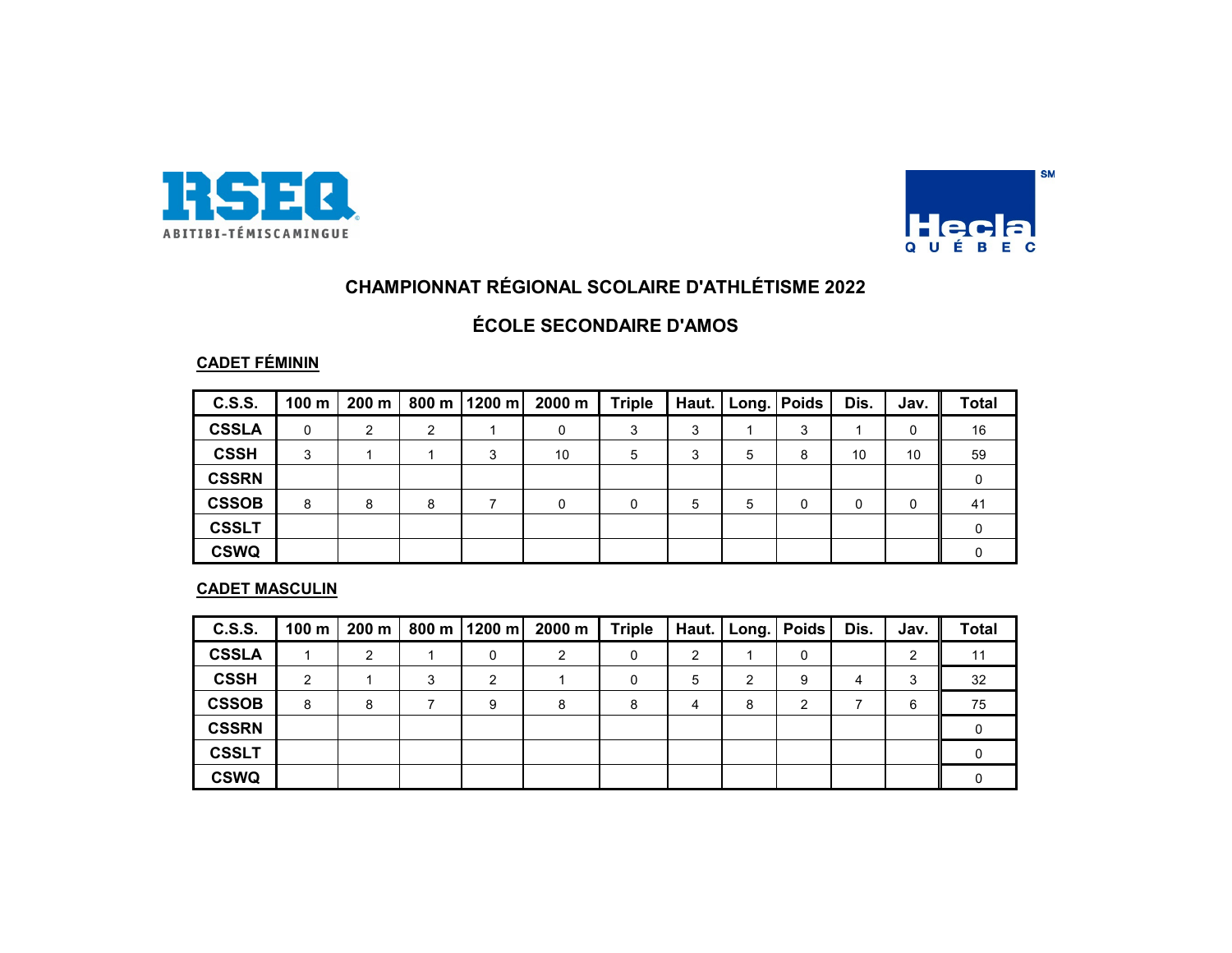



#### **ÉCOLE SECONDAIRE D'AMOS**

#### **CADET FÉMININ**

| C.S.S.       | 100 m | 200 m |   | 800 m   1200 m | 2000 m | <b>Triple</b> |   | Haut.   Long.   Poids |   | Dis. | Jav. | <b>Total</b> |
|--------------|-------|-------|---|----------------|--------|---------------|---|-----------------------|---|------|------|--------------|
| <b>CSSLA</b> | 0     | 2     | ົ |                | 0      | 3             | 3 |                       | 3 |      | 0    | 16           |
| <b>CSSH</b>  | 3     |       |   | 3              | 10     | 5             | 3 | 5                     | 8 | 10   | 10   | 59           |
| <b>CSSRN</b> |       |       |   |                |        |               |   |                       |   |      |      |              |
| <b>CSSOB</b> | 8     | 8     | 8 |                | U      | 0             | 5 | 5                     |   | 0    |      | -41          |
| <b>CSSLT</b> |       |       |   |                |        |               |   |                       |   |      |      |              |
| <b>CSWQ</b>  |       |       |   |                |        |               |   |                       |   |      |      |              |

#### **CADET MASCULIN**

| <b>C.S.S.</b> | 100 <sub>m</sub> | 200 m |   | 800 m   1200 m | 2000 m | <b>Triple</b> | Haut. |   | Long.   Poids | Dis. | Jav. | <b>Total</b> |
|---------------|------------------|-------|---|----------------|--------|---------------|-------|---|---------------|------|------|--------------|
| <b>CSSLA</b>  |                  | 2     |   |                | C      | 0             | 2     |   | 0             |      | ົ    | 11           |
| <b>CSSH</b>   | 2                |       | 3 | ◠              |        | 0             | 5     | 2 | 9             | 4    | 3    | 32           |
| <b>CSSOB</b>  | 8                | 8     |   | 9              | 8      | 8             | 4     | 8 | ◠             |      | 6    | 75           |
| <b>CSSRN</b>  |                  |       |   |                |        |               |       |   |               |      |      |              |
| <b>CSSLT</b>  |                  |       |   |                |        |               |       |   |               |      |      |              |
| <b>CSWQ</b>   |                  |       |   |                |        |               |       |   |               |      |      |              |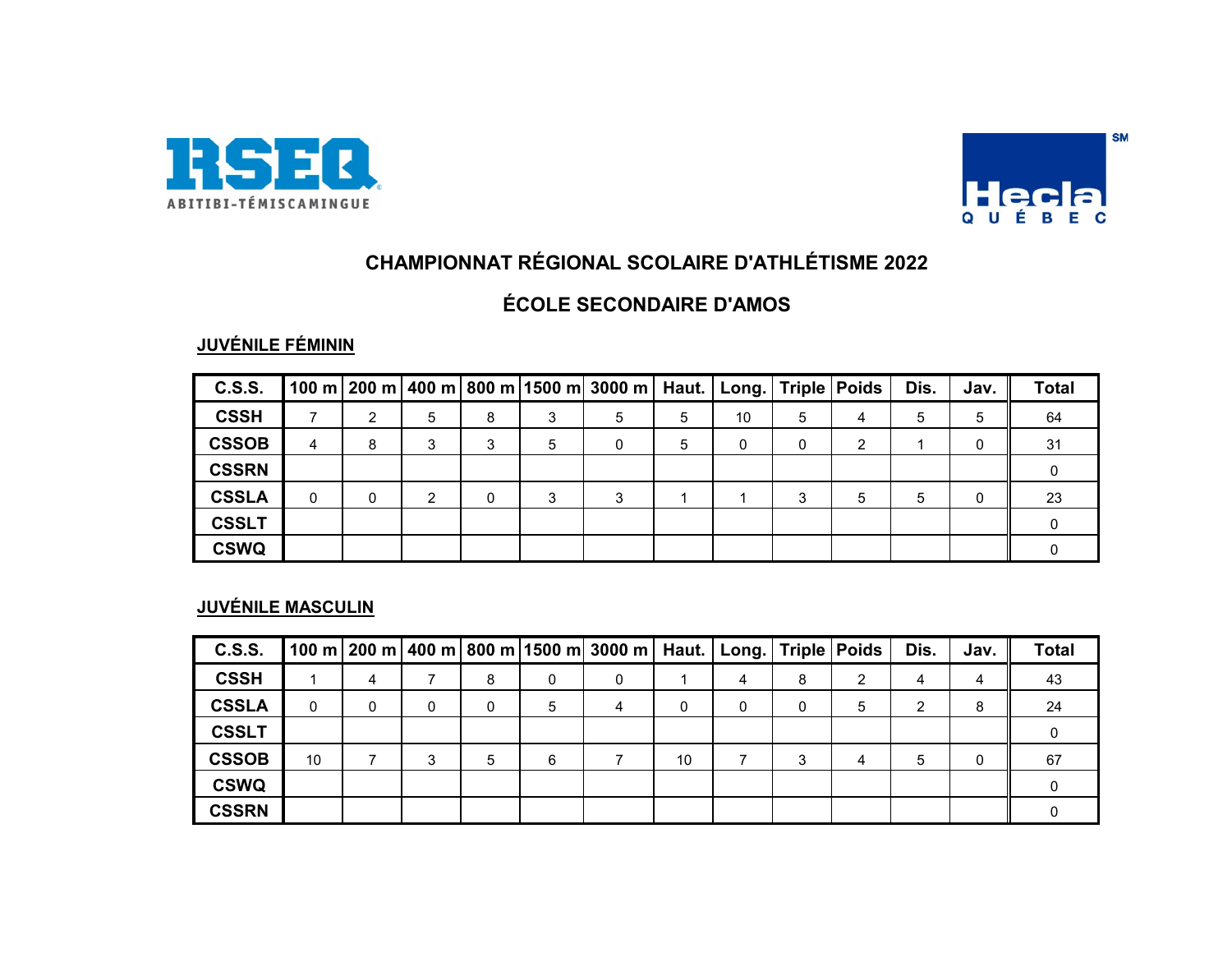



## **ÉCOLE SECONDAIRE D'AMOS**

### **JUVÉNILE FÉMININ**

| <b>C.S.S.</b> |   |   |   |              |   | 100 m   200 m   400 m   800 m  1500 m  3000 m   Haut.   Long.   Triple   Poids |   |    |   |   | Dis. | Jav. | <b>Total</b> |
|---------------|---|---|---|--------------|---|--------------------------------------------------------------------------------|---|----|---|---|------|------|--------------|
| <b>CSSH</b>   |   | C | 5 | 8            | 3 | 5                                                                              | 5 | 10 | 5 | 4 | 5    | 5    | 64           |
| <b>CSSOB</b>  | 4 | 8 |   | 3            | 5 |                                                                                | 5 | 0  | 0 |   |      |      | -31          |
| <b>CSSRN</b>  |   |   |   |              |   |                                                                                |   |    |   |   |      |      |              |
| <b>CSSLA</b>  | 0 | 0 | 2 | $\mathbf{0}$ | 3 | ົ                                                                              |   |    | 3 | 5 | 5    |      | 23           |
| <b>CSSLT</b>  |   |   |   |              |   |                                                                                |   |    |   |   |      |      |              |
| <b>CSWQ</b>   |   |   |   |              |   |                                                                                |   |    |   |   |      |      |              |

#### **JUVÉNILE MASCULIN**

| <b>C.S.S.</b> |    |   |              |   |   | 100 m $ 200 \text{ m} $ 400 m $ 800 \text{ m} $ 1500 m $ 3000 \text{ m} $ |    | Haut. Long. |   | Triple Poids | Dis. | Jav. | <b>Total</b> |
|---------------|----|---|--------------|---|---|---------------------------------------------------------------------------|----|-------------|---|--------------|------|------|--------------|
| <b>CSSH</b>   |    | 4 |              | 8 | 0 | 0                                                                         |    | 4           | 8 | ◠            | 4    | 4    | 43           |
| <b>CSSLA</b>  | 0  |   | $\mathbf{0}$ | 0 | 5 |                                                                           | 0  | 0           | 0 | 5            | 2    | 8    | 24           |
| <b>CSSLT</b>  |    |   |              |   |   |                                                                           |    |             |   |              |      |      |              |
| <b>CSSOB</b>  | 10 |   | 3            | 5 | 6 |                                                                           | 10 |             | 3 |              | 5    |      | 67           |
| <b>CSWQ</b>   |    |   |              |   |   |                                                                           |    |             |   |              |      |      |              |
| <b>CSSRN</b>  |    |   |              |   |   |                                                                           |    |             |   |              |      |      |              |